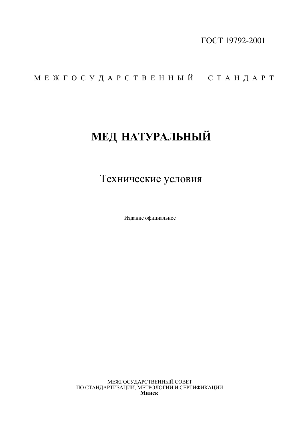## МЕЖГОСУДАРСТВЕННЫЙ СТАНДАРТ

# **МЕД НАТУРАЛЬНЫЙ**

## Технические условия

Издание официальное

МЕЖГОСУДАРСТВЕННЫЙ СОВЕТ<br>ПО СТАНДАРТИЗАЦИИ, МЕТРОЛОГИИ И СЕРТИФИКАЦИИ Минск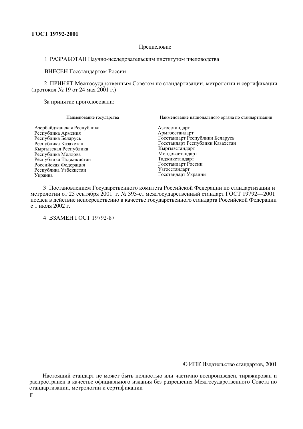## Предисловие

## 1 РАЗРАБОТАН Научно-исследовательским институтом пчеловодства

## ВНЕСЕН Госстандартом России

2 ПРИНЯТ Межгосударственным Советом по стандартизации, метрологии и сертификации (протокол № 19 от 24 мая 2001 г.)

#### За принятие проголосовали:

Азербайджанская Республика Республика Армения Республика Беларусь Республика Казахстан Кыргызская Республика Республика Молдова Республика Таджикистан Российская Федерация Республика Узбекистан Украина

Наименование государства и наименование национального органа по стандартизации

Азгосстандарт Армгосстандарт Госстандарт Республики Беларусь Госстандарт Республики Казахстан Кыргызстандарт Молдовастандарт Талжикстандарт Госстандарт России Узгосстандарт Госстандарт Украины

3 Постановлением Государственного комитета Российской Федерации по стандартизации и метрологии от 25 сентября 2001 г. № 393-ст межгосударственный стандарт ГОСТ 19792—2001 поеден в действие непосредственно в качестве государственного стандарта Российской Федерации с 1 июля 2002 г.

## 4 \$ - 19792-87

© ИПК Издательство стандартов, 2001

Настоящий стандарт не может быть полностью или частично воспроизведен, тиражирован и распространен в качестве официального издания без разрешения Межгосударственного Совета по стандартизации, метрологии и сертификации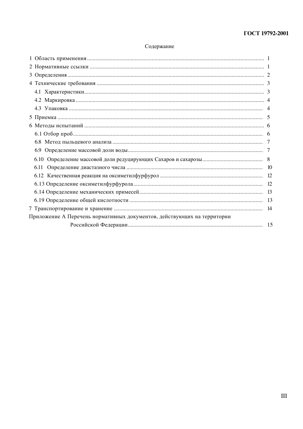## Содержание

| 6.11                                                                    |    |
|-------------------------------------------------------------------------|----|
|                                                                         |    |
|                                                                         |    |
|                                                                         |    |
|                                                                         |    |
|                                                                         | 14 |
| Приложение А Перечень нормативных документов, действующих на территории |    |
|                                                                         |    |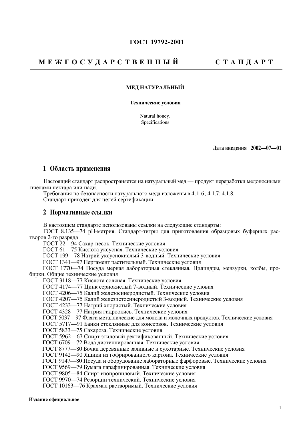#### МЕЖГОСУДАРСТВЕННЫЙ **СТАНДАРТ**

## МЕЛ НАТУРАЛЬНЫЙ

Технические условия

Natural honey. Specifications

Дата введения 2002-07-01

## 1 Область применения

Настоящий стандарт распространяется на натуральный мед — продукт переработки медоносными пчелами нектара или пали.

Требования по безопасности натурального меда изложены в 4.1.6; 4.1.7; 4.1.8. Стандарт пригоден для целей сертификации.

## 2 Нормативные ссылки

В настоящем стандарте использованы ссылки на следующие стандарты:

ГОСТ 8.135-74 рН-метрия. Стандарт-титры для приготовления образцовых буферных растворов 2-го разряда

ГОСТ 22-94 Сахар-песок. Технические условия

ГОСТ 61-75 Кислота уксусная. Технические условия

ГОСТ 199—78 Натрий уксуснокислый 3-водный. Технические условия

ГОСТ 1341-97 Пергамент растительный. Технические условия

ГОСТ 1770-74 Посуда мерная лабораторная стеклянная. Цилиндры, мензурки, колбы, пробирки. Общие технические условия

ГОСТ 3118-77 Кислота соляная. Технические условия

ГОСТ 4174-77 Цинк сернокислый 7-водный. Технические условия

ГОСТ 4206-75 Калий железосинеродистый. Технические условия

ГОСТ 4207-75 Калий железистосинеродистый 3-водный. Технические условия

ГОСТ 4233-77 Натрий хлористый. Технические условия

ГОСТ 4328-77 Натрия гидроокись. Технические условия

ГОСТ 5037-97 Фляги металлические для молока и молочных продуктов. Технические условия

ГОСТ 5717-91 Банки стеклянные для консервов. Технические условия

ГОСТ 5833-75 Сахароза. Технические условия

ГОСТ 5962-67 Спирт этиловый ректификованный. Технические условия

ГОСТ 6709-72 Вода дистиллированная. Технические условия

ГОСТ 8777-80 Бочки деревянные заливные и сухотарные. Технические условия

ГОСТ 9142-90 Ящики из гофрированного картона. Технические условия

ГОСТ 9147-80 Посуда и оборудование лабораторные фарфоровые. Технические условия

ГОСТ 9569-79 Бумага парафинированная. Технические условия

ГОСТ 9805-84 Спирт изопропиловый. Технические условия

ГОСТ 9970-74 Резорцин технический. Технические условия

ГОСТ 10163-76 Крахмал растворимый. Технические условия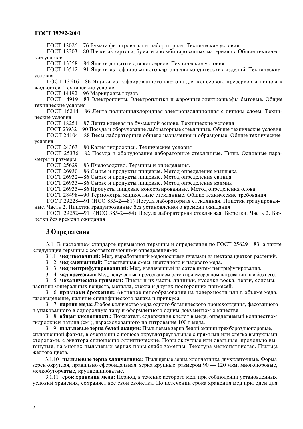ГОСТ 12026-76 Бумага фильтровальная лабораторная. Технические условия

ГОСТ 12303—80 Пачки из картона, бумаги и комбинированных материалов. Общие технические условия

ГОСТ 13358-84 Ящики дощатые для консервов. Технические условия

ГОСТ 13512-91 Ящики из гофрированного картона для кондитерских изделий. Технические условия

ГОСТ 13516—86 Ящики из гофрированного картона для консервов, пресервов и пищевых жилкостей. Технические условия

ГОСТ 14192-96 Маркировка грузов

ГОСТ 14919—83 Электроплиты. Электроплитки и жарочные электрошкафы бытовые. Общие технические условия

ГОСТ 16214-86 Лента поливинилхлоридная электроизоляционная с липким слоем. Технические условия

ГОСТ 18251-87 Лента клеевая на бумажной основе. Технические условия

ГОСТ 23932—90 Посуда и оборудование лабораторные стеклянные. Общие технические условия

ГОСТ 24104-88 Весы лабораторные общего назначения и образцовые. Общие технические условия

ГОСТ 24363-80 Калия гилроокись. Технические условия

ГОСТ 25336-82 Посуда и оборудование лабораторные стеклянные. Типы. Основные параметры и размеры

ГОСТ 25629-83 Пчеловодство. Термины и определения.

ГОСТ 26930-86 Сырье и продукты пищевые. Метод определения мышьяка

ГОСТ 26932-86 Сырье и продукты пищевые. Метод определения свинца

ГОСТ 26933-86 Сырье и продукты пищевые. Метод определения кадмия

ГОСТ 26935-86 Продукты пищевые консервированные. Метод определения олова

ГОСТ 28498-90 Термометры жидкостные стеклянные. Общие технические требования

ГОСТ 29228-91 (ИСО 835-2-81) Посуда лабораторная стеклянная. Пипетки градуирован-

ные. Часть 2. Пипетки градуированные без установленного времени ожидания

ГОСТ 29252—91 (ИСО 385-2—84) Посуда лабораторная стеклянная. Бюретки. Часть 2. Бюретки без времени ожидания

## 3 Определения

3.1 В настоящем стандарте применяют термины и определения по ГОСТ 25629—83, а также следующие термины с соответствующими определениями:

3.1.1 мед цветочный: Мед, выработанный медоносными пчелами из нектара цветков растений.

3.1.2 мед смешанный: Естественная смесь цветочного и падевого меда.

3.1.3 мед центрифугированный: Мед, извлеченный из сотов путем центрифугирования.

3.1.4 мел прессовый: Мел. полученный прессованием сотов при умеренном нагревании или без него.

3.1.5 механические примеси: Пчелы и их части, личинки, кусочки воска, перги, соломы, частицы минеральных веществ, металла, стекла и других посторонних примесей.

3.1.6 признаки брожения: Активное пенообразование на поверхности или в объеме меда, газовыделение, наличие специфического запаха и привкуса.

3.1.7 партия мела: Любое количество мела одного ботанического происхождения, фасованного и упакованного в однородную тару и оформленного одним документом о качестве.

3.1.8 общая кислотность: Показатель содержания кислот в меде, определяемый количеством гидроокиси натрия (см<sup>3</sup>), израсходованного на титрование 100 г меда.

3.1.9 пыльцевые зерна белой акации: Пыльцевые зерна белой акации трехборозднопоровые, сплющенной формы, в очертании с полюса округлотреугольные с прямыми или слегка выпуклыми сторонами, с экватора сплющенно-эллиптические. Поры округлые или овальные, продольно вытянутые, на многих пыльцевых зернах поры слабо заметны. Текстура мелкопятнистая. Пыльца желтого ивета.

3.1.10 пыльцевые зерна хлопчатника: Пыльцевые зерна хлопчатника двухклеточные. Форма зерен округлая, правильно сфероидальная, зерна крупные, размером 90 — 120 мкм, многопоровые, мелкобугорчатые, крупношиповатые.

3.1.11 срок хранения меда: Период, в течение которого мед, при соблюдении установленных условий хранения, сохраняет все свои свойства. По истечении срока хранения мел приголен для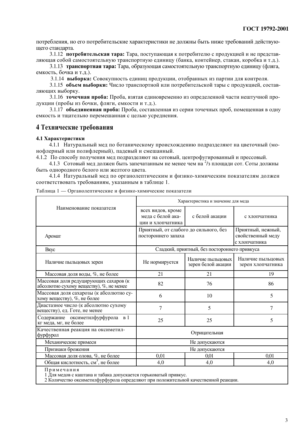потребления, но его потребительские характеристики не должны быть ниже требований действующего стандарта.

3.1.12 потребительская тара: Тара, поступающая к потребителю с продукцией и не представляющая собой самостоятельную транспортную елиницу (банка, контейнер, стакан, коробка и т.л.).

3.1.13 транспортная тара: Тара, образующая самостоятельную транспортную единицу (фляга, емкость, бочка и т.д.).

3.1.14 выборка: Совокупность единиц продукции, отобранных из партии для контроля.

3.1.15 объем выборки: Число транспортной или потребительской тары с продукцией, составляющих выборку.

3.1.16 точечная проба: Проба, взятая единовременно из определенной части нештучной продукции (пробы из бочки, фляги, емкости и т.д.).

3.1.17 объединенная проба: Проба, составленная из серии точечных проб, помещенная в одну емкость и тщательно перемешанная с целью усреднения.

## 4 Технические требования

### 4.1 Характеристики

4.1.1 Натуральный мед по ботаническому происхождению подразделяют на цветочный (монофлерный или полифлерный), падевый и смешанный.

4.1.2 По способу получения мед подразделяют на сотовый, центрофугированный и прессовый.

4.1.3 Сотовый мед должен быть запечатанным не менее чем на  $2/3$  площади сот. Соты должны быть однородного белого или желтого цвета.

4.1.4 Натуральный мед по органолептическим и физико-химическим показателям должен соответствовать требованиям, указанным в таблице 1.

|                                                                                  | Характеристика и значение для меда                           |                                                         |                                        |  |  |
|----------------------------------------------------------------------------------|--------------------------------------------------------------|---------------------------------------------------------|----------------------------------------|--|--|
| Наименование показателя                                                          | всех видов, кроме<br>меда с белой ака-<br>ции и хлопчатника  | с белой акации                                          | с хлопчатника                          |  |  |
| Аромат                                                                           | Приятный, от слабого до сильного, без<br>постороннего запаха | Приятный, нежный,<br>свойственный меду<br>с хлопчатника |                                        |  |  |
| Вкус                                                                             |                                                              | Сладкий, приятный, без постороннего привкуса            |                                        |  |  |
| Наличие пыльцовых зерен                                                          | Не нормируется                                               | Наличие пыльцовых<br>зерен белой акации                 | Наличие пыльновых<br>зерен хлопчатника |  |  |
| Массовая доля воды, %, не более                                                  | 21                                                           | 21                                                      | 19                                     |  |  |
| Массовая доля редуцирующих сахаров (к<br>абсолютно сухому веществу), %, не менее | 82<br>76                                                     |                                                         | 86                                     |  |  |
| Массовая доля сахарозы (к абсолютно су-<br>хому веществу), %, не более           | 6                                                            | 10                                                      | 5                                      |  |  |
| Диастазное число (к абсолютно сухому<br>веществу), ед. Готе, не менее            | 7                                                            | 5                                                       | 7                                      |  |  |
| Содержание оксиметилфурфурола в 1<br>кг меда, мг, не более                       | 25                                                           | 25                                                      | 5                                      |  |  |
| Качественная реакция на оксиметил-<br>фурфурол                                   | Отрицательная                                                |                                                         |                                        |  |  |
| Механические примеси                                                             | Не допускаются                                               |                                                         |                                        |  |  |
| Признаки брожения                                                                |                                                              |                                                         |                                        |  |  |
| Массовая доля олова, %, не более                                                 | 0,01                                                         | 0,01                                                    | 0,01                                   |  |  |
| Общая кислотность, см <sup>3</sup> , не более                                    | 4,0                                                          | 4,0                                                     | 4,0                                    |  |  |
| Примечания<br>1 Для медов с каштана и табака допускается горьковатый привкус.    |                                                              |                                                         |                                        |  |  |

Таблица 1 — Органолептические и физико-химические показатели

2 Количество оксиметилфурфурола определяют при положительной качественной реакции.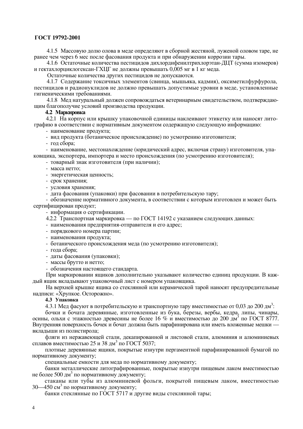4.1.5 Массовую долю олова в меде определяют в сборной жестяной, луженой оловом таре, не ранее чем через 6 мес после фасования продукта и при обнаружении коррозии тары.

4.1.6 Остаточные количества пестицидов дихлордифенилтрихлорэтан-ДЦТ (сумма изомеров) и гектахлорциклогексан-ГХЦГ не должны превышать 0,005 мг в 1 кг меда.

Остаточные количества других пестицидов не допускаются.

4.1.7 Содержание токсичных элементов (свинца, мышьяка, кадмия), оксиметилфурфурола, пестицидов и радионуклидов не должно превышать допустимые уровни в меде, установленные гигиеническими требованиями.

4.1.8 Мед натуральный должен сопровождаться ветеринарным свидетельством, подтверждающим благополучие условий производства продукции.

#### 4.2 Маркировка

4.2.1 На корпус или крышку упаковочной единицы наклеивают этикетку или наносят литографию в соответствии с нормативным документом содержащую следующую информацию:

- наименование продукта;

- вид продукта (ботаническое происхождение) по усмотрению изготовителя;

- год сбора:

- наименование, местонахождение (юридический адрес, включая страну) изготовителя, упаковщика, экспортера, импортера и место происхождения (по усмотрению изготовителя);

- товарный знак изготовителя (при наличии);

- масса нетто:

- энергетическая ценность;

- срок хранения;

- условия хранения:

- дата фасования (упаковки) при фасовании в потребительскую тару;

- обозначение нормативного документа, в соответствии с которым изготовлен и может быть сертифицирован продукт;

- информация о сертификации.

4.2.2 Транспортная маркировка — по ГОСТ 14192 с указанием следующих данных:

- наименования предприятия-отправителя и его адрес;

- порядкового номера партии;

- наименования продукта:

- ботанического происхождения меда (по усмотрению изготовителя);

- гола сбора:

- даты фасования (упаковки):

- массы брутто и нетто;

- обозначения настоящего стандарта.

При маркировании ящиков дополнительно указывают количество единиц продукции. В каждый ящик вкладывают упаковочный лист с номером упаковщика.

На верхней крышке яшика со стеклянной или керамической тарой наносят предупредительные надписи: «Хрупкое. Осторожно».

### 4.3 Упаковка

4.3.1 Мед фасуют в потребительскую и транспортную тару вместимостью от 0.03 до 200 дм<sup>3</sup>:

бочки и бочата деревянные, изготовленные из бука, березы, вербы, кедра, липы, чинары, осины, ольхи с этажностью древесины не более 16 % и вместимостью до 200 дм<sup>3</sup> по ГОСТ 8777. Внутренняя поверхность бочек и бочат должна быть парафинирована или иметь вложенные мешки вкладыши из полистирола;

фляги из нержавеющей стали, декапированной и листовой стали, алюминия и алюминиевых сплавов вместимостью 25 и 38 дм<sup>3</sup> по ГОСТ 5037;

плотные деревянные ящики, покрытые изнутри пергаментной парафинированной бумагой по нормативному документу;

специальные емкости для меда по нормативному документу;

банки металлические литографированные, покрытые изнутри пищевым лаком вместимостью не более 500 дм<sup>3</sup> по нормативному документу;

стаканы или тубы из алюминиевой фольги, покрытой пищевым лаком, вместимостью 30—450 см<sup>3</sup> по нормативному документу;

банки стеклянные по ГОСТ 5717 и другие виды стеклянной тары;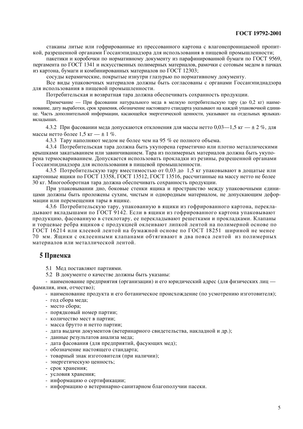стаканы литые или гофрированные из прессованного картона с влагонепроницаемой пропиткой, разрешенной органами Госсанэпиднадзора для использования в пищевой промышленности;

пакетики и коробочки по нормативному документу из парафинированной бумаги по ГОСТ 9569, пергамента по ГОСТ 1341 и искусственных полимерных материалов, рамочки с сотовым медом в пачках из картона, бумаги и комбинированных материалов по ГОСТ 12303;

сосуды керамические, покрытые изнутри глазурью по нормативному документу.

Все виды упаковочных материалов должны быть согласованы с органами Госсанэпиднадзора лля использования в пишевой промышленности.

Потребительская и возвратная тара должна обеспечивать сохранность продукции.

Примечание — При фасовании натурального меда в мелкую потребительскую тару (до 0,2 кг) наименование, дату выработки, срок хранения, обозначение настоящего стандарта указывают на каждой упаковочной единице. Часть дополнительной информации, касающейся энергетической ценности, указывают на отдельных ярлыкахвкладышах.

4.3.2 При фасовании мела лопускаются отклонения для массы нетто 0.03—1.5 кг —  $\pm$  2 %, для массы нетто более 1.5 кг —  $\pm$  1 %.

4.3.3 Тару наполняют медом не более чем на 95 % ее полного объема.

4.3.4 Потребительская тара должна быть укупорена герметично или плотно металлическими крышками закатыванием или завинчиванием. Тара из полимерных материалов должна быть укупорена термосвариванием. Допускается использовать прокладки из резины, разрешенной органами Госсанэпиднадзора для использования в пищевой промышленности.

4.3.5 Потребительскую тару вместимостью от 0.03 до 1.5 кг упаковывают в дошатые или картонные ящики по ГОСТ 13358, ГОСТ 13512, ГОСТ 13516, рассчитанные на массу нетто не более 30 кг. Многооборотная тара должна обеспечивать сохранность продукции.

При упаковывании лно. боковые стенки яшика и пространство между упаковочными елиницами должны быть проложены сухим, чистым и однородным материалом, не допускающим деформации или перемещения тары в ящике.

4.3.6 Потребительскую тару, упакованную в ящики из гофрированного картона, перекладывают вкладышами по ГОСТ 9142. Если в ящики из гофрированного картона упаковывают продукцию, фасованную в стеклотару, ее перекладывают решетками и прокладками. Клапаны и торцевые ребра ящиков с продукцией оклеивают липкой лентой на полимерной основе по ГОСТ 16214 или клеевой лентой на бумажной основе по ГОСТ 18251 шириной не менее 70 мм. Ящики с оклеенными клапанами обтягивают в два пояса лентой из полимерных материалов или металлической лентой.

## 5 Приемка

5.1 Мед поставляют партиями.

5.2 В локументе о качестве лолжны быть указаны:

- наименование предприятия (организации) и его юридический адрес (для физических лиц фамилия, имя, отчество);

- наименование продукта и его ботаническое происхождение (по усмотрению изготовителя);

- год сбора меда;
- место сбора:
- порядковый номер партии;
- количество мест в партии;
- масса брутто и нетто партии;
- дата выдачи документов (ветеринарного свидетельства, накладной и др.);
- данные результатов анализа меда;
- дата фасования (для предприятий, фасующих мед);
- обозначение настоящего стандарта;
- товарный знак изготовителя (при наличии);
- энергетическую ценность:
- срок хранения;
- условия хранения;
- информацию о сертификации;
- информацию о ветеринарно-санитарном благополучии пасеки.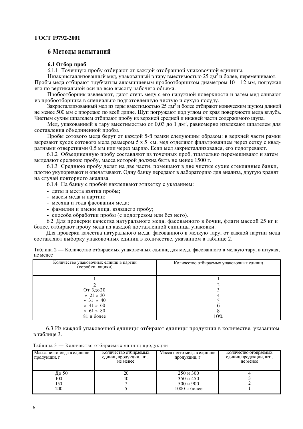## 6 Метолы испытаний

## 6.1 Отбор проб

6.1.1 Точечную пробу отбирают от каждой отобранной упаковочной единицы.

Незакристаллизованный мед, упакованный в тару вместимостью 25 дм<sup>3</sup> и более, перемешивают. Пробы меда отбирают трубчатым алюминиевым пробоотборником диаметром 10—12 мм, погружая его по вертикальной оси на всю высоту рабочего объема.

Пробоотборник извлекают, дают стечь меду с его наружной поверхности и затем мед сливают из пробоотборника в специально подготовленную чистую и сухую посуду.<br>Закристаллизованный мед из тары вместимостью 25 дм<sup>3</sup> и более отбирают коническим щупом длиной

не менее 500 мм с прорезью по всей длине. Щуп погружают под углом от края поверхности меда вглубь. Чистым сухим шпателем отбирают пробу из верхней средней и нижней части содержимого щупа.

Мед, упакованный в тару вместимостью от 0,03 до 1 дм<sup>3</sup>, равномерно извлекают шпателем для составления объединенной пробы.

Пробы сотового меда берут от каждой 5-й рамки следующим образом: в верхней части рамки вырезают кусок сотового меда размером 5 х 5 см, мед отделяют фильтрованием через сетку с квадратными отверстиями 0.5 мм или через марлю. Если мел закристаллизовался, его пологревают.

6.1.2 Объединенную пробу составляют из точечных проб. тшательно перемешивают и затем выделяют среднюю пробу, масса которой должна быть не менее 1500 г.

6.1.3 Среднюю пробу делят на две части, помещают в две чистые сухие стеклянные банки, плотно укупоривают и опечатывают. Одну банку передают в лабораторию для анализа, другую хранят на случай повторного анализа.

6.1.4 На банку с пробой наклеивают этикетку с указанием:

- даты и места взятия пробы;
- массы меда и партии;
- месяца и года фасования меда;
- фамилии и имени лица, взявшего пробу;
- способа обработки пробы (с подогревом или без него).

6.2 Для проверки качества натурального меда, фасованного в бочки, фляги массой 25 кг и более, отбирают пробу меда из каждой доставленной единицы упаковки.

Лля проверки качества натурального мела, фасованного в мелкую тару, от каждой партии мела составляют выборку упаковочных елиниц в количестве, указанном в таблице 2.

|          |  | Таблица 2 — Количество отбираемых упаковочных единиц для меда, фасованного в мелкую тару, в штуках, |  |  |  |
|----------|--|-----------------------------------------------------------------------------------------------------|--|--|--|
| не менее |  |                                                                                                     |  |  |  |

| Количество упаковочных единиц в партии<br>(коробки, ящики) | Количество отбираемых упаковочных единиц |
|------------------------------------------------------------|------------------------------------------|
|                                                            |                                          |
|                                                            |                                          |
| От 3до20                                                   |                                          |
| $\rightarrow 21 \rightarrow 30$                            |                                          |
| $\ast$ 31 $\ast$ 40                                        |                                          |
| $\ast$ 41 $\ast$ 60                                        |                                          |
| $\ast$ 61 $\ast$ 80                                        |                                          |
| 81 и более                                                 | 10%                                      |

6.3 Из кажлой упаковочной елиницы отбирают елиницы пролукции в количестве, указанном в таблице 3.

Таблица 3 — Количество отбираемых елиниц продукции

| Масса нетто меда в единице<br>продукции, г | Количество отбираемых<br>единиц продукции, шт.,<br>не менее | Масса нетто меда в единице<br>продукции, г          | Количество отбираемых<br>единиц продукции, шт.,<br>не менее |
|--------------------------------------------|-------------------------------------------------------------|-----------------------------------------------------|-------------------------------------------------------------|
| До 50<br>100<br>150<br>200                 | 20<br>10                                                    | 250 и 300<br>350 и 450<br>500 и 900<br>1000 и более |                                                             |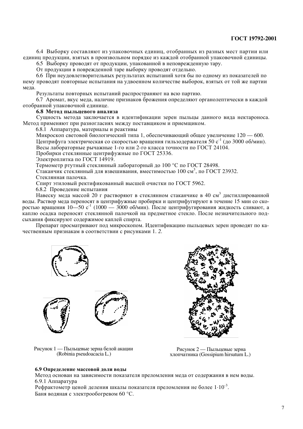6.4 Выборку составляют из упаковочных единиц, отобранных из разных мест партии или единиц продукции, взятых в произвольном порядке из каждой отобранной упаковочной единицы.

6.5 Выборку проводят от продукции, упакованной в неповрежденную тару.

От продукции в поврежденной таре выборку проводят отдельно.

6.6 При неудовлетворительных результатах испытаний хотя бы по одному из показателей по нему проволят повторные испытания на улвоенном количестве выборок, взятых от той же партии мела.

Результаты повторных испытаний распространяют на всю партию.

6.7 Аромат, вкус меда, наличие признаков брожения определяют органолептически в каждой отобранной упаковочной единице.

#### 6.8 Метол пыльцевого анализа

Сущность метода заключается в идентификации зерен пыльцы данного вида нектароноса. Метод применяют при разногласиях между поставщиком и приемщиком.

6.8.1 Аппаратура, материалы и реактивы

Микроскоп световой биологический типа 1, обеспечивающий общее увеличение 120 - 600. Центрифуга электрическая со скоростью вращения гильзодержателя 50 с<sup>-1</sup> (до 3000 об/мин). Весы лабораторные рычажные 1-го или 2-го класса точности по ГОСТ 24104.

Пробирки стеклянные центрифужные по ГОСТ 25336.

Электроплитка по ГОСТ 14919.

Термометр ртутный стеклянный лабораторный до 100 °С по ГОСТ 28498.

Стаканчик стеклянный лля взвешивания, вместимостью 100 см<sup>3</sup>, по ГОСТ 23932.

Стеклянная палочка.

Спирт этиловый ректификованный высшей очистки по ГОСТ 5962.

6.8.2 Проведение испытания

Навеску меда массой 20 г растворяют в стеклянном стаканчике в 40 см<sup>3</sup> дистиллированной воды. Раствор меда переносят в центрифужные пробирки и центрифугируют в течение 15 мин со скоростью вращения  $10-50$  с<sup>-1</sup> (1000 — 3000 об/мин). После центрифугирования жидкость сливают, а каплю осадка переносят стеклянной палочкой на предметное стекло. После незначительного подсыхания фиксируют содержимое каплей спирта.

Препарат просматривают под микроскопом. Идентификацию пыльцевых зерен проводят по качественным признакам в соответствии с рисунками 1.2.





Рисунок 1 — Пыльцевые зерна белой акации (Robinia pseudoacacia L.)



Рисунок 2 — Пыльцевые зерна хлопчатника (Gossipium hirsutum L.)

### 6.9 Определение массовой доли воды

Метод основан на зависимости показателя преломления меда от содержания в нем воды. 6.9.1 Аппаратура

Рефрактометр ценой деления шкалы показателя преломления не более  $1.10^{-3}$ . Баня водяная с электрообогревом 60 °С.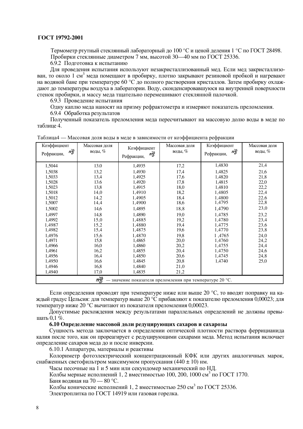Термометр ртутный стеклянный лабораторный до 100 °С и ценой деления 1 °С по ГОСТ 28498. Пробирки стеклянные диаметром 7 мм, высотой 30—40 мм по ГОСТ 25336.

6.9.2 Подготовка к испытанию

Для проведения испытания используют незакристаллизованный мед. Если мед закристаллизован. то около 1 см<sup>3</sup> мела помещают в пробирку, плотно закрывают резиновой пробкой и нагревают на водяной бане при температуре 60 °С до полного растворения кристаллов. Затем пробирку охлаждают до температуры воздуха в лаборатории. Воду, сконденсировавшуюся на внутренней поверхности стенок пробирки, и массу мела тшательно перемешивают стеклянной палочкой.

6.9.3 Проведение испытания

Одну каплю меда наносят на призму рефрактометра и измеряют показатель преломления.

6.9.4 Обработка результатов

Полученный показатель преломления меда пересчитывают на массовую долю воды в меде по таблице 4.

| Коэффициент<br>$n_D^{20}$<br>Рефракции,                                | Массовая доля<br>воды, % | Коэффициент<br>$n_D^{20}$<br>Рефракции, | Массовая доля<br>воды, % | Коэффициент<br>$n_D^{20}$<br>Рефракции, | Массовая доля<br>воды, % |  |
|------------------------------------------------------------------------|--------------------------|-----------------------------------------|--------------------------|-----------------------------------------|--------------------------|--|
| 1,5044                                                                 | 13.0                     | 1,4935                                  | 17,2                     | 1,4830                                  | 21,4                     |  |
| 1,5038                                                                 | 13,2                     | 1,4930                                  | 17,4                     | 1,4825                                  | 21,6                     |  |
| 1,5033                                                                 | 13,4                     | 1,4925                                  | 17,6                     | 1,4820                                  | 21,8                     |  |
| 1,5028                                                                 | 13.6                     | 1,4920                                  | 17,8                     | 1,4815                                  | 22,0                     |  |
| 1,5023                                                                 | 13,8                     | 1,4915                                  | 18,0                     | 1,4810                                  | 22,2                     |  |
| 1,5018                                                                 | 14,0                     | 1,4910                                  | 18,2                     | 1,4805                                  | 22,4                     |  |
| 1.5012                                                                 | 14.2                     | 1.4905                                  | 18.4                     | 1.4800                                  | 22.6                     |  |
| 1,5007                                                                 | 14,4                     | 1,4900                                  | 18,6                     | 1,4795                                  | 22,8                     |  |
| 1,5002                                                                 | 14,6                     | 1,4895                                  | 18,8                     | 1,4790                                  | 23,0                     |  |
| 1,4997                                                                 | 14,8                     | 1,4890                                  | 19,0                     | 1,4785                                  | 23,2                     |  |
| 1,4992                                                                 | 15,0                     | 1,4885                                  | 19,2                     | 1,4780                                  | 23,4                     |  |
| 1,4987                                                                 | 15,2                     | 1,4880                                  | 19,4                     | 1,4775                                  | 23,6                     |  |
| 1,4982                                                                 | 15,4                     | 1,4875                                  | 19,6                     | 1,4770                                  | 23,8                     |  |
| 1,4976                                                                 | 15,6                     | 1,4870                                  | 19,8                     | 1,4765                                  | 24,0                     |  |
| 1,4971                                                                 | 15,8                     | 1,4865                                  | 20,0                     | 1,4760                                  | 24,2                     |  |
| 1,4966                                                                 | 16,0                     | 1,4860                                  | 20,2                     | 1,4755                                  | 24,4                     |  |
| 1,4961                                                                 | 16,2                     | 1,4855                                  | 20,4                     | 1,4750                                  | 24,6                     |  |
| 1,4956                                                                 | 16,4                     | 1,4850                                  | 20,6                     | 1,4745                                  | 24,8                     |  |
| 1,4950                                                                 | 16,6                     | 1,4845                                  | 20,8                     | 1,4740                                  | 25,0                     |  |
| 1,4946                                                                 | 16,8                     | 1,4840                                  | 21,0                     |                                         |                          |  |
| 1,4940                                                                 | 17,0                     | 1,4835                                  | 21,2                     |                                         |                          |  |
| $n_D^{20}$<br>- значение показателя преломления при температуре 20 °С. |                          |                                         |                          |                                         |                          |  |

|  |  | Таблица4 - Массовая доля воды в меде в зависимости от коэффициента рефракции |  |
|--|--|------------------------------------------------------------------------------|--|
|  |  |                                                                              |  |
|  |  |                                                                              |  |
|  |  |                                                                              |  |

Если определения проводят при температуре ниже или выше 20 °С, то вводят поправку на кажлый градус Пельсия: для температур выше 20 °С прибавляют к показателю предомления 0.00023; для температур ниже 20 °С вычитают из показателя преломления 0,00023.

Допустимые расхождения между результатами параллельных определений не должны превышать 0.1 %.

6.10 Определение массовой доли редуцирующих сахаров и сахарозы

Сущность метода заключается в определении оптической плотности раствора феррицианида калия после того, как он прореагирует с редуцирующими сахарами меда. Метод испытания включает определение сахаров меда до и после инверсии.

6.10.1 Аппаратура, материалы и реактивы

Колориметр фотоэлектрический концентрационный КФК или других аналогичных марок, снабженных светофильтром максимумом пропускания (440 ± 10) нм.

Часы песочные на 1 и 5 мин или секундомер механический по НД.

Колбы мерные исполнений 1, 2 вместимостью 100, 200, 1000 см<sup>3</sup> по ГОСТ 1770. Баня водяная на 70 — 80 °С.

Колбы конические исполнений 1, 2 вместимостью 250 см<sup>3</sup> по ГОСТ 25336.

Электроплитка по ГОСТ 14919 или газовая горелка.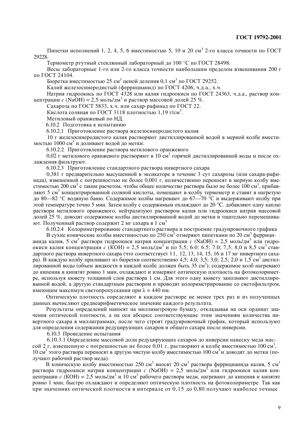Пипетки исполнений 1, 2, 4, 5, 6 вместимостью 5, 10 и 20 см<sup>3</sup> 2-го класса точности по ГОСТ 29228.

Термометр ртутный стеклянный лабораторный до 100 °С по ГОСТ 28498.

Весы лабораторные 1-го или 2-го класса точности наибольшим пределом взвешивания 200 г по ГОСТ 24104.

Бюретка вместимостью 25 см<sup>3</sup> ценой деления 0.1 см<sup>3</sup> по ГОСТ 29252.

Калий железосинеродистый (феррицианид) по ГОСТ 4206, ч.д.а., х.ч.

Натрия гидроокись по ГОСТ 4328 или калия гидроокиси по ГОСТ 24363, ч.д.а., раствор концентрации с (NaOH) = 2.5 моль/дм<sup>3</sup> и раствор массовой долей 25 %.

Сахароза по ГОСТ 5833, х.ч. или сахар-рафинад по ГОСТ 22.

Кислота соляная по ГОСТ 3118 плотностью 1.19 г/см<sup>3</sup>.

Метиловый оранжевый по НД.

6.10.2 Подготовка к испытанию

6.10.2.1 Приготовление раствора железосинеродистого калия

10 г железосинеродистого калия растворяют дистиллированной водой в мерной колбе вместимостью 1000 см<sup>3</sup> и доливают водой до метки.

6.10.2.2 Приготовление раствора метилового оранжевого

0,02 г метилового оранжевого растворяют в 10 см<sup>3</sup> горячей дистиллированной воды и после охлаждения фильтруют.

6.10.2.3 Приготовление стандартного раствора инвертного сахара

0,381 г предварительно высушенной в эксикаторе в течение 3 сут сахарозы (или сахара-рафинада), взвешенной с погрешностью не более 0,001 г, количественно переносят в мерную колбу вместимостью 200 см<sup>3</sup> с таким расчетом, чтобы общее количество раствора было не более 100 см<sup>3</sup>, прибавляют 5 см<sup>3</sup> концентрированной соляной кислоты, помещают в колбу термометр и ставят в нагретую ло 80—82 °С воляную баню. Солержимое колбы нагревают ло 67—70 °С и вылерживают колбу при этой температуре точно 5 мин. Затем колбу с содержимым охлаждают до 20 °С. добавляют одну каплю раствора метилового оранжевого, нейтрализуют раствором калия пли гидроокиси натрия массовой долей 25 %, доводят содержимое колбы дистиллированной водой до метки и тщательно перемешивают. Полученный раствор содержит 2 мг сахара в 1 см<sup>3</sup>

6.10.2.4 Колориметрирование стандартного раствора и построение градуировочного графика

В сухие конические колбы вместимостью по 250 см<sup>3</sup> отмеряют пипетками по 20 см<sup>3</sup> феррицианида калия, 5 см<sup>3</sup> раствора гидроокиси натрия концентрации с (NaOH) = 2,5 моль/дм<sup>3</sup> или гидроокиси калия концентрации с (КОН) = 2,5 моль/дм<sup>3</sup> и по 5,5; 6.0: 6.5; 7.0; 7,5; 8,0 и 8,5 см<sup>3</sup> стандартного раствора инвертного сахара (что соответствует 11, 12, 13, 14, 15, 16 и 17 мг инвертного сахара). В каждую колбу приливают из бюретки соответственно 4,5; 4,0; 3,5; 3,0; 2,5; 2,0 и 1,5 см<sup>3</sup> дистиллированной воды (объем жидкости в каждой колбе должен быть 35 см<sup>3</sup>); содержимое колб нагревают до кипения и кипятят ровно 1 мин, охлаждают и измеряют оптическую плотность на фотоколориметре, используя кювету толщиной слоя раствора 1 см. Для этого одну кювету заполняют дистиллированной водой, а другую стандартным раствором и проводят колориметрирование со светофильтром, имеющим максимум светопропускания при  $\lambda = 440$  нм.

Оптическую плотность определяют в каждом растворе не менее трех раз и из полученных данных вычисляют среднеарифметическое значение каждого результата.

Результаты определений наносят на миллиметровую бумагу, откладывая на оси ординат значения оптической плотности, а на оси абсцисс соответствующие этим значениям количества инвертного сахара в миллиграммах, после чего строят градуировочный график, который используют лля определения содержания редуцирующих сахаров и общего сахара после инверсии.

6.10.3 Проведение испытания

6.10.3.1 Определение массовой доли редуцирующих сахаров до инверсии навеску меда массой 2 г, взвешенную с погрешностью не более 0,01 г, растворяют в колбе вместимостью 100 см<sup>3</sup>, 10 см<sup>3</sup> этого раствора переносят в другую чистую колбу вместимостью 100 см<sup>3</sup> и доводят до метки (получают рабочий раствор меда).

В коническую колбу вместимостью 250 см<sup>3</sup> вносят 20 см<sup>3</sup> раствора феррицианида калия, 5 см<sup>3</sup> раствора гидроокиси натрия концентрации с (NaOH) = 2,5 моль/дм<sup>3</sup> или гидроокиси калия концентрации с (КОН) = 2,5 моль/дм<sup>3</sup> и 10 см<sup>3</sup> рабочего раствора меди, нагревают до кипения и кипятят ровно 1 мин, быстро охлаждают и определяют оптическую плотность на фотоколориметре. Так как при значениях оптической плотности в интервале от 0,15 до 0,80 получают наиболее точные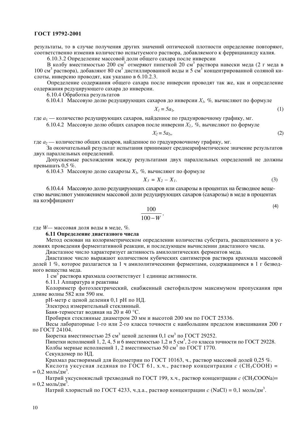результаты, то в случае получения других значений оптической плотности определение повторяют, соответственно изменив количество испытуемого раствора, добавляемого к феррицианиду калия.

6.10.3.2 Определение массовой доли общего сахара после инверсии

В колбу вместимостью 200 см<sup>3</sup> отмеряют пипеткой 20 см<sup>3</sup> раствора навески меда (2 г меда в 100 см<sup>3</sup> раствора), добавляют 80 см<sup>3</sup> дистиллированной воды и 5 см<sup>3</sup> концентрированной соляной кислоты, инверсию проводят, как указано в 6.10.2.3.

Определение содержания общего сахара после инверсии проводят так же, как и определение содержания редуцирующего сахара до инверсии.

6.10.4 Обработка результатов

6.10.4.1 Массовую долю редуцирующих сахаров до инверсии  $X_i$ , %, вычисляют по формуле

$$
X_1 = 5a_1,\tag{1}
$$

где  $a_1$  — количество редуцирующих сахаров, найденное по градуировочному графику, мг.

6.10.4.2 Массовую долю общих сахаров после инверсии  $X_2$ , %, вычисляют по формуле

$$
X_2 = 5a_2,\tag{2}
$$

где  $a_2$  — количество общих сахаров, найденное по градуировочному графику, мг.

За окончательный результат испытания принимают среднеарифметическое значение результатов двух параллельных определений.

Допускаемые расхождения между результатами двух параллельных определений не должны превышать 0.5 %.

6.10.4.3 Массовую лолю сахарозы  $X_3$ , % вычисляют по формуле

$$
X_3 = X_2 - X_1. \tag{3}
$$

6.10.4.4 Массовую долю редуцирующих сахаров или сахарозы в процентах на безводное вещество вычисляют умножением массовой доли редуцирующих сахаров (сахарозы) в меде в процентах на коэффициент  $\overline{A}$ 

$$
\frac{100}{100 - W},
$$

где W— массовая доля воды в меде, %.

#### 6.11 Определение диастазного числа

Метол основан на колориметрическом определении количества субстрата, расшепленного в условиях проведения ферментативной реакции, и последующем вычислении диастазного числа.

Диастазное число характеризует активность амилолитических ферментов меда.

Диастазное число выражают количеством кубических сантиметров раствора крахмала массовой долей 1 %, которое разлагается за 1 ч амилолитическими ферментами, содержащимися в 1 г безводного вещества меда.

1 см<sup>3</sup> раствора крахмала соответствует 1 единице активности.

6.11.1 Аппаратура и реактивы

Колориметр фотоэлектрический, снабженный светофильтром максимумом пропускания при ллине волны 582 или 590 нм.

рН-метр с ценой деления 0,1 рН по НД.

Электрол измерительный стеклянный.

Баня-термостат водяная на 20 и 40 °С.

Пробирки стеклянные диаметром 20 мм и высотой 200 мм по ГОСТ 25336.

Весы лабораторные 1-го или 2-го класса точности с наибольшим пределом взвешивания 200 г по ГОСТ 24104.

Бюретка вместимостью 25 см<sup>3</sup> ценой деления 0.1 см<sup>3</sup> по ГОСТ 29252.

Пипетки исполнений 1, 2, 4, 5 и 6 вместимостью 1,2 и 5 см<sup>3</sup>, 2-го класса точности по ГОСТ 29228.

Колбы мерные исполнений 1, 2 вместимостью 50 см<sup>3</sup> по ГОСТ 1770.

Секундомер по НД.

Крахмал растворимый для йодометрии по ГОСТ 10163, ч., раствор массовой долей 0.25 %.

Кислота уксусная ледяная по ГОСТ 61, х.ч., раствор концентрации с (СН<sub>3</sub>СООН) =  $= 0.2$  MO<sub>I</sub>L/ $\pi M^3$ .

Натрий уксуснокислый трехводный по ГОСТ 199, х.ч., раствор концентрации с (CH3COONa)=  $= 0.2$  моль/дм<sup>3</sup>.

Натрий хлористый по ГОСТ 4233, ч.д.а., раствор концентрации с (NaCl) = 0,1 моль/дм<sup>3</sup>.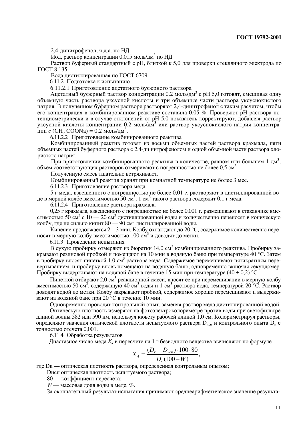2,4-динитрофенол, ч.д.а. по НД.

Йод, раствор концентрации 0,015 моль/дм<sup>3</sup> по НД.

Раствор буферный стандартный с рН, близкой к 5.0 для проверки стеклянного электрода по ГОСТ 8.135.

Вода дистиллированная по ГОСТ 6709.

6.11.2 Полготовка к испытанию

6.11.2.1 Приготовление ацетатного буферного раствора

Ацетатный буферный раствор концентрации 0.2 моль/дм<sup>3</sup> с рН 5.0 готовят, смешивая одну объемную часть раствора уксусной кислоты и три объемные части раствора уксуснокислого натрия. В полученном буферном растворе растворяют 2,4-динитрофенол с таким расчетом, чтобы его концентрация в комбинированном реактиве составила 0,05 %. Проверяют рН раствора потенциометрически и в случае отклонений от рН 5,0 показатель корректируют, добавляя раствор уксусной кислоты концентрации 0,2 моль/дм<sup>3</sup> или раствор уксуснокислого натрия концентрации с (CH<sub>3</sub> COONa) = 0,2 моль/дм<sup>3</sup>.

6.11.2.2 Приготовление комбинированного реактива

Комбинированный реактив готовят из восьми объемных частей раствора крахмала, пяти объемных частей буферного раствора с 2.4-ди нитрофенолом и одной объемной части раствора хлористого натрия.

При приготовлении комбинированного реактива в количестве, равном или большем 1 дм<sup>3</sup>, объем соответствующих растворов отмеривают с погрешностью не более 0.5 см<sup>3</sup>.

Полученную смесь тщательно встряхивают.

Комбинированный реактив хранят при комнатной температуре не более 3 мес.

6.11.2.3 Приготовление раствора меда

5 г мела, взвешенного с погрешностью не более 0.01 г. растворяют в листиллированной воде в мерной колбе вместимостью 50 см<sup>3</sup>. 1 см<sup>3</sup> такого раствора содержит 0.1 г меда.

6.11.2.4 Приготовление раствора крахмала

0,25 г крахмала, взвешенного с погрешностью не более 0,001 г. размешивают в стаканчике вместимостью 50 см<sup>3</sup> с 10 — 20 см<sup>3</sup> дистиллированной воды и количественно переносят в коническую колбу, где не сильно кипит  $80 - 90$  см<sup>3</sup> дистиллированной воды.

Кипение продолжается 2—3 мин. Колбу охлаждают до 20 °С, содержимое количественно переносят в мерную колбу вместимостью 100 см<sup>3</sup> и доводят до метки.

6.11.3 Проведение испытания

В сухую пробирку отмеряют из бюретки 14,0 см<sup>3</sup> комбинированного реактива. Пробирку закрывают резиновой пробкой и помещают на 10 мин в водяную баню при температуре 40 °С. Затем в пробирку вносят пипеткой 1,0 см<sup>3</sup> раствора меда. Содержимое перемешивают пятикратным перевертыванием, и пробирку вновь помещают на водяную баню, одновременно включая секундомер. Пробирку выдерживают на водяной бане в течение 15 мин при температуре (40  $\pm$  0,2) °С.

Пипеткой отбирают 2,0 см<sup>3</sup> реакционной смеси, вносят ее при перемешивании в мерную колбу вместимостью 50 см<sup>3</sup>, содержащую 40 см<sup>3</sup> воды и 1 см<sup>3</sup> раствора йода, температурой 20 °С. Раствор доводят водой до метки. Колбу закрывают пробкой, содержимое хорошо перемешивают и выдерживают на водяной бане при 20 °С в течение 10 мин.

Олновременно проволят контрольный опыт, заменяя раствор мела листиллированной волой.

Оптическую плотность измеряют на фотоэлектроколориметре против воды при светофильтре длиной волны 582 или 590 нм, используя кювету рабочей длиной 1.0 см. Колориметрируя растворы, определяют значения оптической плотности испытуемого раствора  $D_{ucn}$  и контрольного опыта  $D_{rc}$  с точностью отсчета 0.001.

6.11.4 Обработка результатов

Диастазное число меда  $X_4$  в пересчете на 1 г безводного вещества вычисляют по формуле

$$
X_4 = \frac{(D_{\kappa} - D_{ucn}) \cdot 100 \cdot 80}{D_{\kappa}(100 - W)},
$$

где Dк — оптическая плотность раствора, определенная контрольным опытом;

**Dисп оптическая плотность испытуемого раствора;** 

80 — коэффициент пересчета;

W — массовая доля воды в меде, %.

За окончательный результат испытания принимают среднеарифметическое значение результа-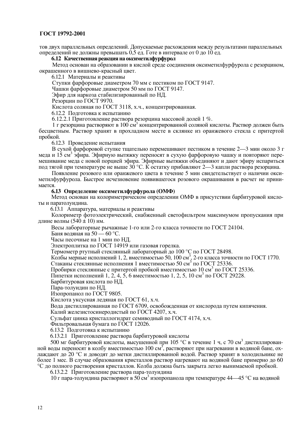тов двух параллельных определений. Допускаемые расхождения между результатами параллельных определений не должны превышать 0,5 ед. Готе в интервале от 0 до 10 ед.

6.12 Качественная реакция на оксиметилфурфурол

Метод основан на образовании в кислой среде соединения оксиметилфурфурола с резорцином, окрашенного в вишнево-красный цвет.

6.12.1 Материалы и реактивы

Ступки фарфоровые диаметром 70 мм с пестиком по ГОСТ 9147.

Чашки фарфоровые диаметром 50 мм по ГОСТ 9147.

Эфир для наркоза стабилизированный по НД.

Резорцин по ГОСТ 9970.

Кислота соляная по ГОСТ 3118, х.ч., концентрированная.

6.12.2 Подготовка к испытанию

6.12.2.1 Приготовление раствора резорцина массовой долей 1 %.

1 г резорцина растворяют в 100 см<sup>3</sup> концентрированной соляной кислоты. Раствор должен быть бесцветным. Раствор хранят в прохладном месте в склянке из оранжевого стекла с притертой пробкой.

6.12.3 Провеление испытания

В сухой фарфоровой ступке тщательно перемешивают пестиком в течение 2—3 мин около 3 г меда и 15 см<sup>3</sup> эфира. Эфирную вытяжку переносят в сухую фарфоровую чашку и повторяют перемешивание меда с новой порцией эфира. Эфирные вытяжки объединяют и дают эфиру испариться под тягой при температуре не выше 30 °С. К остатку прибавляют 2—3 капли раствора резорцина.

Появление розового или оранжевого цвета в течение 5 мин свилетельствует о наличии оксиметилфурфурола. Быстрое исчезновение появившегося розового окрашивания в расчет не принимается.

#### 6.13 Определение оксиметилфурфурола (ОМФ)

Метод основан на колориметрическом определении ОМФ в присутствии барбитуровой кислоты и паратолуилина.

6.13.1 Аппаратура, материалы и реактивы

Колориметр фотоэлектрический, снабженный светофильтром максимумом пропускания при ллине волны  $(540 \pm 10)$  нм.

Весы лабораторные рычажные 1-го или 2-го класса точности по ГОСТ 24104.

Баня воляная на 50 — 60 °С.

Часы песочные на 1 мин по НД.

Электроплитка по ГОСТ 14919 или газовая горелка.

Электронятие по т ОСТ 11919 или тезовал горелка.<br>Термометр ртутный стеклянный лабораторный до 100 °С по ГОСТ 28498.<br>Колбы мерные исполнений 1, 2, вместимостью 50, 100 см<sup>3</sup>, 2-го класса точности по ГОСТ 1770.<br>Стаканы стек

Пробирки стеклянные с притертой пробкой вместимостью 10 см<sup>3</sup> по ГОСТ 25336.

Пипетки исполнений 1, 2, 4, 5, 6 вместимостью 1, 2, 5, 10 см<sup>3</sup> по ГОСТ 29228.

Барбитуровая кислота по НД.

Пара-толуидин по НД.

Изопропанол по ГОСТ 9805.

Кислота уксусная ледяная по ГОСТ 61, х.ч.

Вола листиллированная по ГОСТ 6709, освобожденная от кислорода путем кипячения.

Калий железистосинеродистый по ГОСТ 4207, х.ч.

Сульфат цинка кристаллогидрат семиводный по ГОСТ 4174, х.ч.

Фильтровальная бумага по ГОСТ 12026.

6.13.2 Подготовка к испытанию

6.13.2.1 Приготовление раствора барбитуровой кислоты

500 мг барбитуровой кислоты, высушенной при 105 °С в течение 1 ч, с 70 см<sup>3</sup> дистиллированной воды переносят в колбу вместимостью 100 см<sup>3</sup>, растворяют при нагревании в водяной бане, охлаждают до 20 °С и доводят до метки дистиллированной водой. Раствор хранят в холодильнике не более 1 мес. В случае образования кристаллов раствор нагревают на воляной бане примерно ло 60 °C ло полного растворения кристаллов. Колба лолжна быть закрыта легко вынимаемой пробкой.

6.13.2.2 Приготовление раствора пара-толуидина

10 г пара-толуидина растворяют в 50 см<sup>3</sup> изопропанола при температуре 44—45 °С на водяной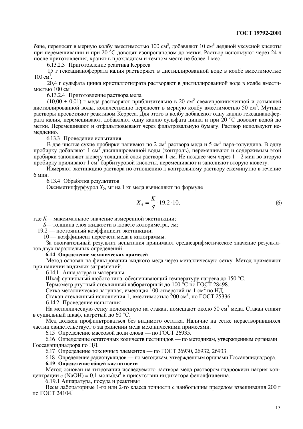бане, переносят в мерную колбу вместимостью 100 см<sup>3</sup>, добавляют 10 см<sup>3</sup> ледяной уксусной кислоты при перемешивании и при 20 °С доводят изопропанолом до метки. Раствор используют через 24 ч после приготовления, хранят в прохлалном и темном месте не более 1 мес.

6.13.2.3 Приготовление реактива Керреса

15 г гексацианоферрата калия растворяют в листиллированной воде в колбе вместимостью  $100 \text{ cm}^3$ .

20.4 г сульфата цинка кристаллогилрата растворяют в листиллированной воде в колбе вместимостью  $100 \text{ cm}^3$ .

6.13.2.4 Приготовление раствора меда

 $(10.00 \pm 0.01)$  г меда растворяют приблизительно в 20 см<sup>3</sup> свежепрокипяченной и остывшей дистиллированной воды, количественно переносят в мерную колбу вместимостью 50 см<sup>3</sup>. Мутные растворы просветляют реактивом Керреса. Для этого в колбу добавляют одну каплю гексацианоферрата калия, перемешивают, добавляют одну каплю сульфата цинка и при 20 °С доводят водой до метки. Перемешивают и отфильтровывают через фильтровальную бумагу. Раствор используют немелленно.

6.13.3 Проведение испытания

В две чистые сухие пробирки наливают по 2 см<sup>3</sup> раствора меда и 5 см<sup>3</sup> пара-толуидина. В одну пробирку добавляют 1 см<sup>3</sup> диспшшрованной воды (контроль), перемешивают и содержимым этой пробирки заполняют кювету толщиной слоя раствора 1 см. Не позднее чем через 1-2 мин во вторую пробирку приливают 1 см<sup>3</sup> барбитуровой кислоты, перемешивают и заполняют вторую кювету.

Измеряют экстинкцию раствора по отношению к контрольному раствору ежеминутно в течение 6 мин.

6.13.4 Обработка результатов

Оксиметилфурфурол  $X_5$ , мг на 1 кг меда вычисляют по формуле

$$
X_{5} = \frac{K}{S} \cdot 19.2 \cdot 10,
$$
\n(6)

где К— максимальное значение измеренной экстинкции;

S- толщина слоя жидкости в кювете колориметра, см;

19,2 - постоянный коэффициент экстинкции;

10 — коэффициент пересчета меда в килограммы.

За окончательный результат испытания принимают среднеарифметическое значение результатов лвух параллельных опрелелений.

6.14 Определение механических примесей

Метод основан на фильтровании жидкого меда через металлическую сетку. Метод применяют при наличии видимых загрязнений.

6.14.1 Аппаратура и материалы

Шкаф сушильный любого типа, обеспечивающий температуру нагрева до 150 °С.

Термометр ртутный стеклянный лабораторный до 100 °С по ГОСТ 28498.

Сетка металлическая латунная, имеющая 100 отверстий на 1 см<sup>2</sup> по НД.

Стакан стеклянный исполнения 1, вместимостью 200 см<sup>3</sup>, по ГОСТ 25336.

6.14.2 Проведение испытания

На металлическую сетку положенную на стакан, помещают около 50 см<sup>3</sup> меда. Стакан ставят в сушильный шкаф, нагретый до 60 °С.

Мед должен профильтроваться без видимого остатка. Наличие на сетке нерастворившихся частиц свидетельствует о загрязнении меда механическими примесями.

6.15 Определение массовой доли олова — по ГОСТ 26935.

6.16 Определение остаточных количеств пестицидов — по методикам, утвержденным органами Госсанэпиднадзора по НД.

6.17 Определение токсичных элементов — по ГОСТ 26930, 26932, 26933.

6.18 Определение радионуклидов — по методикам, утвержденным органами Госсанэпиднадзора.

6.19 Определение общей кислотности

Метод основан на титровании исследуемого раствора меда раствором гидроокиси натрия концентрации с (NaOH) = 0,1 моль/дм<sup>3</sup> в присутствии индикатора фенолфталеина.

6.19.1 Аппаратура, посуда и реактивы

Весы лабораторные 1-го или 2-го класса точности с наибольшим пределом взвешивания 200 г по ГОСТ 24104.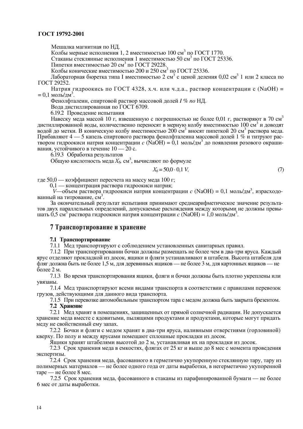Мешалка магнитная по НД.

Колбы мерные исполнения 1, 2 вместимостью 100 см<sup>3</sup> по ГОСТ 1770.

Стаканы стеклянные исполнения 1 вместимостью 50 см<sup>3</sup> по ГОСТ 25336.

Пипетки вместимостью 20 см<sup>3</sup> по ГОСТ 29228.

Колбы конические вместимостью 200 и 250 см<sup>3</sup> по ГОСТ 25336.

Лабораторная бюретка типа I вместимостью 2 см<sup>3</sup> с ценой деления 0.02 см<sup>3</sup> 1 или 2 класса по ГОСТ 29252.

Натрия гидроокись по ГОСТ 4328, х.ч. или ч.д.а., раствор концентрации с (NaOH) =  $= 0.1$  MOJIb/JM<sup>3</sup>.

Фенолфталеин, спиртовой раствор массовой долей  $I$  % по НД.

Вода дистиллированная по ГОСТ 6709.

6.19.2 Проведение испытания

Навеску меда массой 10 г, взвешенную с погрешностью не более 0,01 г, растворяют в 70 см<sup>3</sup> дистиллированной воды, количественно переносят в мерную колбу вместимостью 100 см<sup>3</sup> и доводят водой до метки. В коническую колбу вместимостью 200 см<sup>3</sup> вносят пипеткой 20 см<sup>3</sup> раствора меда. Прибавляют 4 — 5 капель спиртового раствора фенолфталеина массовой долей 1 % и титруют раствором гидроокиси натрия концентрации с  $(NaOH) = 0.1$  моль/дм<sup>3</sup> до появления розового окрашивания, устойчивого в течение  $10-20$  с.

6.19.3 Обработка результатов

Общую кислотность меда  $X_6$ , см<sup>3</sup>, вычисляют по формуле

$$
X_6 = 50.0 \cdot 0.1 \text{ V},\tag{7}
$$

где 50,0 — коэффициент пересчета на массу меда 100 г;

0,1 — концентрация раствора гидроокиси натрия;

 $V$ —объем раствора гидроокиси натрия концентрации с (NaOH) = 0.1 моль/дм<sup>3</sup>, израсходованный на титрование, см<sup>3</sup>.

За окончательный результат испытания принимают среднеарифметическое значение результатов двух параллельных определений, допускаемые расхождения между которыми не должны превышать 0,5 см<sup>3</sup> раствора гидроокиси натрия концентрации  $c$  (NaOH) = 1,0 моль/дм<sup>3</sup>.

## 7 Транспортирование и хранение

### 7.1 Транспортирование

7.1.1 Мед транспортируют с соблюдением установленных санитарных правил.

7.1.2 При транспортировании бочки должны размещать не более чем в два-три яруса. Каждый ярус отделяют прокладкой из досок, ящики и фляги устанавливают в штабеля. Высота штабеля для фляг должна быть не более 1,5 м, для деревянных ящиков — не более 3 м, для картонных ящиков — не более 2 м.

7.1.3 Во время транспортирования ящики, фляги и бочки должны быть плотно укреплены или увязаны.

7.1.4 Мед транспортируют всеми видами транспорта в соответствии с правилами перевозок грузов, действующими для данного вида транспорта.

7.1.5 При перевозке автомобильным транспортом тара с мелом должна быть закрыта брезентом. 7.2 Хранение

7.2.1 Мед хранят в помещениях, защищенных от прямой солнечной радиации. Не допускается хранение меда вместе с ядовитыми, пылящими продуктами и продуктами, которые могут придать мелу не свойственный ему запах.

7.2.2 Бочки и фляги с мелом хранят в два-три яруса, наливными отверстиями (горловиной) кверху. По полу и между ярусами помещают сплошные прокладки из досок.

Ящики хранят штабелями высотой до 2 м, устанавливая их на прокладки из досок.

7.2.3 Срок хранения меда в емкостях, флягах от 25 кг и выше до 8 мес с момента проведения экспертизы.

7.2.4 Срок хранения меда, фасованного в герметично укупоренную стеклянную тару, тару из полимерных материалов — не более одного года от даты выработки, в негерметично укупоренной таре — не более 8 мес.

7.2.5 Срок хранения мела, фасованного в стаканы из парафинированной бумаги — не более 6 мес от даты выработки.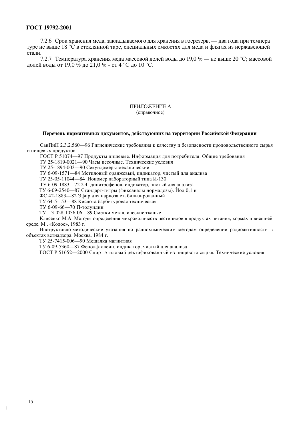7.2.6 Срок хранения меда, закладываемого для хранения в госрезерв, — два года при темпера туре не выше 18 °С в стеклянной таре, специальных емкостях для меда и флягах из нержавеющей стали.

7.2.7 Температура хранения меда массовой долей воды до 19,0 % - не выше 20 °С: массовой лолей волы от 19.0 % до 21.0 % - от 4 °С до 10 °С.

## ПРИПОЖЕНИЕ А (справочное)

#### Перечень нормативных документов, действующих на территории Российской Федерации

СанПиН 2.3.2.560-96 Гигиенические требования к качеству и безопасности продовольственного сырья и пищевых продуктов

ГОСТ Р 51074-97 Продукты пищевые. Информация для потребителя. Общие требования

ТУ 25-1819-0021-90 Часы песочные. Технические условия

ТУ 25-1894-003-90 Секундомеры механические

ТУ 6-09-1571-84 Метиловый оранжевый, индикатор, чистый для анализа

ТУ 25-05-11044-84 Иономер лабораторный типа И-130

ТУ 6-09-1883-72 2.4- динитрофенол, индикатор, чистый для анализа

ТУ 6-09-2540-87 Стандарт-титры (фиксаналы нормадозы). Йод 0.1 н

ФС 42-1883-82 Эфир для наркоза стабилизированный

ТУ 64-5-153-88 Кислота барбитуровая техническая

ТУ 6-09-66-70 П-толуидин

ТУ 13-028-1036-06-89 Сметки металлические тканые

Клисенко М.А. Методы определения микроколичеств пестицидов в продуктах питания, кормах и внешней среде. М., «Колос», 1983 г.

Инструктивно-методические указания по радиохимическим методам определении радиоактивности в объектах ветнадзора. Москва, 1984 г.

ТУ 25-7415-006-90 Мешалка магнитная

ТУ 6-09-5360-87 Фенолфталеин, индикатор, чистый для анализа

ГОСТ Р 51652-2000 Спирт этиловый ректификованный из пищевого сырья. Технические условия

 $\overline{1}$